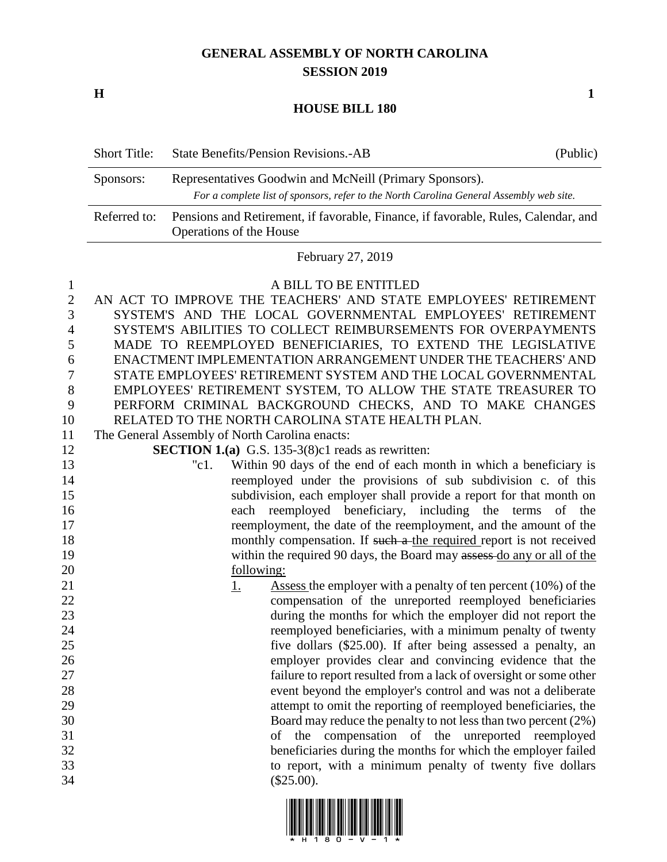## **GENERAL ASSEMBLY OF NORTH CAROLINA SESSION 2019**

**H 1**

**HOUSE BILL 180**

| <b>Short Title:</b> | <b>State Benefits/Pension Revisions.-AB</b>                                                                                                        | (Public) |
|---------------------|----------------------------------------------------------------------------------------------------------------------------------------------------|----------|
| Sponsors:           | Representatives Goodwin and McNeill (Primary Sponsors).<br>For a complete list of sponsors, refer to the North Carolina General Assembly web site. |          |
| Referred to:        | Pensions and Retirement, if favorable, Finance, if favorable, Rules, Calendar, and<br>Operations of the House                                      |          |

February 27, 2019

 A BILL TO BE ENTITLED AN ACT TO IMPROVE THE TEACHERS' AND STATE EMPLOYEES' RETIREMENT SYSTEM'S AND THE LOCAL GOVERNMENTAL EMPLOYEES' RETIREMENT SYSTEM'S ABILITIES TO COLLECT REIMBURSEMENTS FOR OVERPAYMENTS MADE TO REEMPLOYED BENEFICIARIES, TO EXTEND THE LEGISLATIVE ENACTMENT IMPLEMENTATION ARRANGEMENT UNDER THE TEACHERS' AND STATE EMPLOYEES' RETIREMENT SYSTEM AND THE LOCAL GOVERNMENTAL EMPLOYEES' RETIREMENT SYSTEM, TO ALLOW THE STATE TREASURER TO PERFORM CRIMINAL BACKGROUND CHECKS, AND TO MAKE CHANGES RELATED TO THE NORTH CAROLINA STATE HEALTH PLAN.

The General Assembly of North Carolina enacts:

**SECTION 1.(a)** G.S. 135-3(8)c1 reads as rewritten:

- "c1. Within 90 days of the end of each month in which a beneficiary is reemployed under the provisions of sub subdivision c. of this subdivision, each employer shall provide a report for that month on each reemployed beneficiary, including the terms of the reemployment, the date of the reemployment, and the amount of the 18 monthly compensation. If such a the required report is not received 19 within the required 90 days, the Board may assessed do any or all of the following:
- 21 1. Assess the employer with a penalty of ten percent (10%) of the compensation of the unreported reemployed beneficiaries during the months for which the employer did not report the reemployed beneficiaries, with a minimum penalty of twenty five dollars (\$25.00). If after being assessed a penalty, an employer provides clear and convincing evidence that the failure to report resulted from a lack of oversight or some other event beyond the employer's control and was not a deliberate attempt to omit the reporting of reemployed beneficiaries, the Board may reduce the penalty to not less than two percent (2%) of the compensation of the unreported reemployed beneficiaries during the months for which the employer failed to report, with a minimum penalty of twenty five dollars (\$25.00).

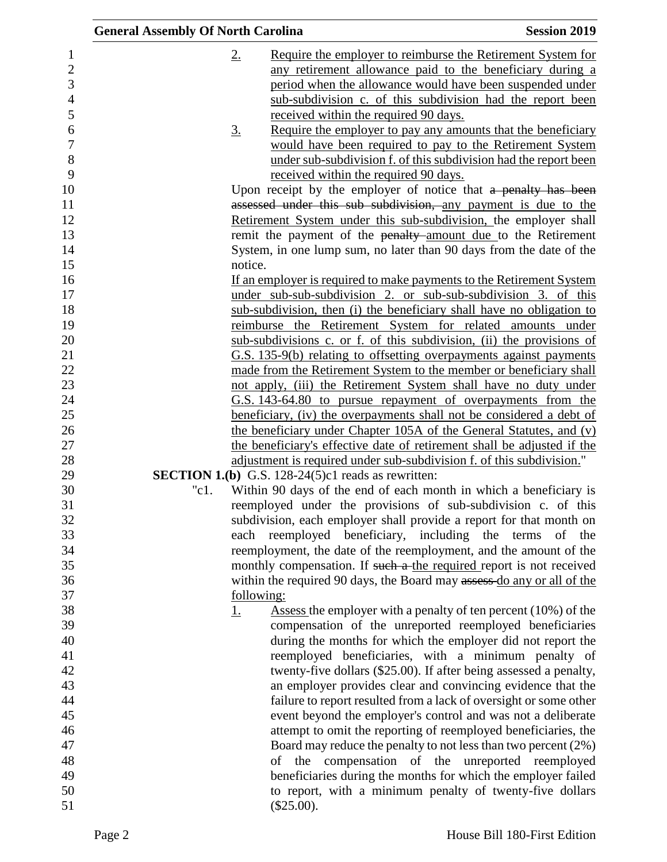| <b>General Assembly Of North Carolina</b> |             |                                                              | <b>Session 2019</b>                                                     |
|-------------------------------------------|-------------|--------------------------------------------------------------|-------------------------------------------------------------------------|
|                                           | $2_{\cdot}$ |                                                              | Require the employer to reimburse the Retirement System for             |
|                                           |             |                                                              | any retirement allowance paid to the beneficiary during a               |
|                                           |             |                                                              | period when the allowance would have been suspended under               |
|                                           |             |                                                              | sub-subdivision c. of this subdivision had the report been              |
|                                           |             | received within the required 90 days.                        |                                                                         |
|                                           | <u>3.</u>   |                                                              | Require the employer to pay any amounts that the beneficiary            |
|                                           |             |                                                              | would have been required to pay to the Retirement System                |
|                                           |             |                                                              | under sub-subdivision f. of this subdivision had the report been        |
|                                           |             | received within the required 90 days.                        |                                                                         |
|                                           |             |                                                              | Upon receipt by the employer of notice that a penalty has been          |
|                                           |             |                                                              | assessed under this sub subdivision, any payment is due to the          |
|                                           |             |                                                              | Retirement System under this sub-subdivision, the employer shall        |
|                                           |             |                                                              | remit the payment of the penalty amount due to the Retirement           |
|                                           |             |                                                              | System, in one lump sum, no later than 90 days from the date of the     |
|                                           | notice.     |                                                              |                                                                         |
|                                           |             |                                                              | If an employer is required to make payments to the Retirement System    |
|                                           |             |                                                              | under sub-sub-subdivision 2. or sub-sub-subdivision 3. of this          |
|                                           |             |                                                              | sub-subdivision, then (i) the beneficiary shall have no obligation to   |
|                                           |             |                                                              | reimburse the Retirement System for related amounts under               |
|                                           |             |                                                              | sub-subdivisions c. or f. of this subdivision, (ii) the provisions of   |
|                                           |             |                                                              | G.S. 135-9(b) relating to offsetting overpayments against payments      |
|                                           |             |                                                              | made from the Retirement System to the member or beneficiary shall      |
|                                           |             |                                                              | not apply, (iii) the Retirement System shall have no duty under         |
|                                           |             |                                                              | <u>G.S. 143-64.80 to pursue repayment of overpayments from the</u>      |
|                                           |             |                                                              | beneficiary, (iv) the overpayments shall not be considered a debt of    |
|                                           |             |                                                              | the beneficiary under Chapter 105A of the General Statutes, and (v)     |
|                                           |             |                                                              | the beneficiary's effective date of retirement shall be adjusted if the |
|                                           |             |                                                              | adjustment is required under sub-subdivision f. of this subdivision."   |
|                                           |             | <b>SECTION 1.(b)</b> G.S. 128-24(5) $c1$ reads as rewritten: |                                                                         |
|                                           | "c1.        |                                                              | Within 90 days of the end of each month in which a beneficiary is       |
|                                           |             |                                                              | reemployed under the provisions of sub-subdivision c. of this           |
|                                           |             |                                                              | subdivision, each employer shall provide a report for that month on     |
|                                           |             |                                                              | each reemployed beneficiary, including the terms of the                 |
|                                           |             |                                                              | reemployment, the date of the reemployment, and the amount of the       |
|                                           |             |                                                              | monthly compensation. If such a the required report is not received     |
|                                           |             |                                                              | within the required 90 days, the Board may assess do any or all of the  |
|                                           | following:  |                                                              |                                                                         |
|                                           | <u>1.</u>   |                                                              | Assess the employer with a penalty of ten percent $(10\%)$ of the       |
|                                           |             |                                                              | compensation of the unreported reemployed beneficiaries                 |
|                                           |             |                                                              | during the months for which the employer did not report the             |
|                                           |             |                                                              | reemployed beneficiaries, with a minimum penalty of                     |
|                                           |             |                                                              | twenty-five dollars (\$25.00). If after being assessed a penalty,       |
|                                           |             |                                                              | an employer provides clear and convincing evidence that the             |
|                                           |             |                                                              | failure to report resulted from a lack of oversight or some other       |
|                                           |             |                                                              | event beyond the employer's control and was not a deliberate            |
|                                           |             |                                                              | attempt to omit the reporting of reemployed beneficiaries, the          |
|                                           |             |                                                              | Board may reduce the penalty to not less than two percent (2%)          |
|                                           |             |                                                              | of the compensation of the unreported reemployed                        |
|                                           |             |                                                              | beneficiaries during the months for which the employer failed           |
|                                           |             |                                                              | to report, with a minimum penalty of twenty-five dollars                |
|                                           |             | $(\$25.00).$                                                 |                                                                         |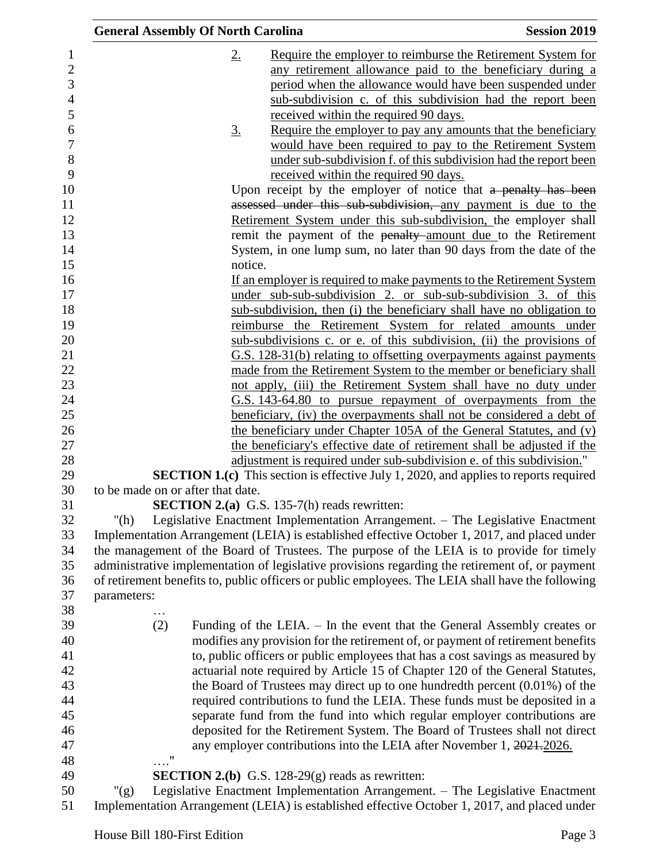|                | <b>General Assembly Of North Carolina</b> |                   |                                                            | <b>Session 2019</b>                                                                               |
|----------------|-------------------------------------------|-------------------|------------------------------------------------------------|---------------------------------------------------------------------------------------------------|
| $\mathbf{1}$   |                                           | $2_{\cdot}$       |                                                            | Require the employer to reimburse the Retirement System for                                       |
| $\overline{2}$ |                                           |                   |                                                            | any retirement allowance paid to the beneficiary during a                                         |
| 3              |                                           |                   |                                                            | period when the allowance would have been suspended under                                         |
| 4              |                                           |                   |                                                            | sub-subdivision c. of this subdivision had the report been                                        |
| 5              |                                           |                   | received within the required 90 days.                      |                                                                                                   |
| 6              |                                           | $\underline{3}$ . |                                                            | Require the employer to pay any amounts that the beneficiary                                      |
| 7              |                                           |                   |                                                            | would have been required to pay to the Retirement System                                          |
| 8              |                                           |                   |                                                            | under sub-subdivision f. of this subdivision had the report been                                  |
| 9              |                                           |                   | received within the required 90 days.                      |                                                                                                   |
| 10             |                                           |                   |                                                            | Upon receipt by the employer of notice that a penalty has been                                    |
| 11             |                                           |                   |                                                            | assessed under this sub-subdivision, any payment is due to the                                    |
| 12             |                                           |                   |                                                            | Retirement System under this sub-subdivision, the employer shall                                  |
| 13             |                                           |                   |                                                            | remit the payment of the penalty amount due to the Retirement                                     |
| 14             |                                           |                   |                                                            | System, in one lump sum, no later than 90 days from the date of the                               |
| 15             |                                           | notice.           |                                                            |                                                                                                   |
| 16             |                                           |                   |                                                            | If an employer is required to make payments to the Retirement System                              |
| 17             |                                           |                   |                                                            | under sub-sub-subdivision 2. or sub-sub-subdivision 3. of this                                    |
| 18             |                                           |                   |                                                            | sub-subdivision, then (i) the beneficiary shall have no obligation to                             |
| 19             |                                           |                   |                                                            | reimburse the Retirement System for related amounts under                                         |
| 20             |                                           |                   |                                                            | sub-subdivisions c. or e. of this subdivision, (ii) the provisions of                             |
| 21             |                                           |                   |                                                            | G.S. 128-31(b) relating to offsetting overpayments against payments                               |
| 22             |                                           |                   |                                                            | made from the Retirement System to the member or beneficiary shall                                |
| 23             |                                           |                   |                                                            | not apply, (iii) the Retirement System shall have no duty under                                   |
| 24             |                                           |                   |                                                            | <u>G.S. 143-64.80 to pursue repayment of overpayments from the</u>                                |
| 25             |                                           |                   |                                                            | beneficiary, (iv) the overpayments shall not be considered a debt of                              |
| 26             |                                           |                   |                                                            | the beneficiary under Chapter 105A of the General Statutes, and (v)                               |
| 27             |                                           |                   |                                                            | the beneficiary's effective date of retirement shall be adjusted if the                           |
| 28             |                                           |                   |                                                            | adjustment is required under sub-subdivision e. of this subdivision."                             |
| 29             |                                           |                   |                                                            | <b>SECTION 1.(c)</b> This section is effective July 1, 2020, and applies to reports required      |
| 30             | to be made on or after that date.         |                   |                                                            |                                                                                                   |
| 31             |                                           |                   | <b>SECTION 2.(a)</b> G.S. 135-7(h) reads rewritten:        |                                                                                                   |
| 32             | " $(h)$                                   |                   |                                                            | Legislative Enactment Implementation Arrangement. – The Legislative Enactment                     |
| 33             |                                           |                   |                                                            | Implementation Arrangement (LEIA) is established effective October 1, 2017, and placed under      |
| 34             |                                           |                   |                                                            | the management of the Board of Trustees. The purpose of the LEIA is to provide for timely         |
| 35             |                                           |                   |                                                            | administrative implementation of legislative provisions regarding the retirement of, or payment   |
| 36             |                                           |                   |                                                            | of retirement benefits to, public officers or public employees. The LEIA shall have the following |
| 37             | parameters:                               |                   |                                                            |                                                                                                   |
| 38             |                                           |                   |                                                            |                                                                                                   |
| 39             | (2)                                       |                   |                                                            | Funding of the LEIA. – In the event that the General Assembly creates or                          |
| 40             |                                           |                   |                                                            | modifies any provision for the retirement of, or payment of retirement benefits                   |
| 41             |                                           |                   |                                                            | to, public officers or public employees that has a cost savings as measured by                    |
| 42             |                                           |                   |                                                            | actuarial note required by Article 15 of Chapter 120 of the General Statutes,                     |
| 43             |                                           |                   |                                                            | the Board of Trustees may direct up to one hundredth percent $(0.01\%)$ of the                    |
| 44             |                                           |                   |                                                            | required contributions to fund the LEIA. These funds must be deposited in a                       |
| 45             |                                           |                   |                                                            | separate fund from the fund into which regular employer contributions are                         |
| 46             |                                           |                   |                                                            | deposited for the Retirement System. The Board of Trustees shall not direct                       |
| 47             |                                           |                   |                                                            | any employer contributions into the LEIA after November 1, 2021-2026.                             |
| 48             | $\ldots$ "                                |                   |                                                            |                                                                                                   |
| 49             |                                           |                   | <b>SECTION 2.(b)</b> G.S. 128-29 $(g)$ reads as rewritten: |                                                                                                   |
| 50             | " $(g)$                                   |                   |                                                            | Legislative Enactment Implementation Arrangement. - The Legislative Enactment                     |
| 51             |                                           |                   |                                                            | Implementation Arrangement (LEIA) is established effective October 1, 2017, and placed under      |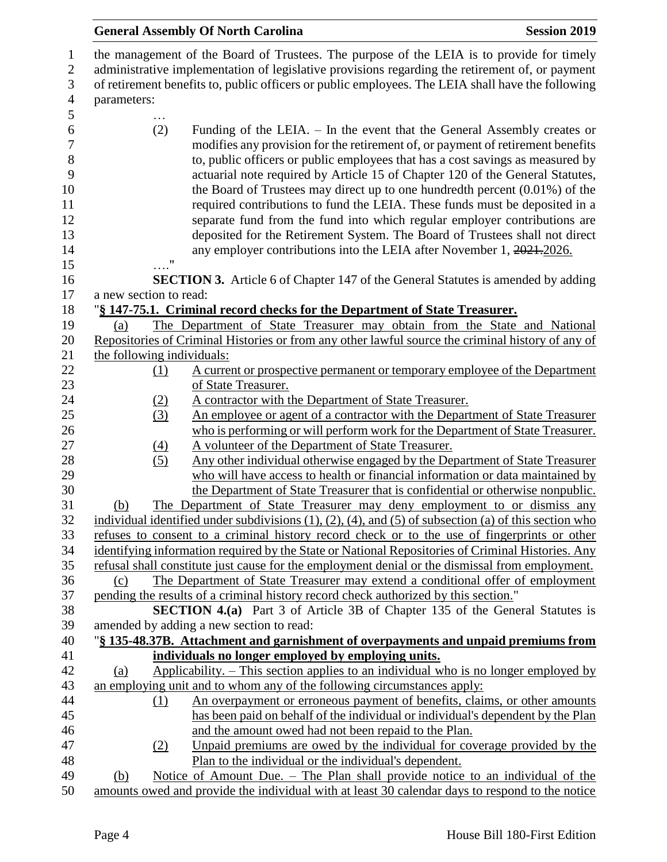## **General Assembly Of North Carolina Session 2019 Session 2019**  the management of the Board of Trustees. The purpose of the LEIA is to provide for timely administrative implementation of legislative provisions regarding the retirement of, or payment of retirement benefits to, public officers or public employees. The LEIA shall have the following parameters: … (2) Funding of the LEIA. – In the event that the General Assembly creates or modifies any provision for the retirement of, or payment of retirement benefits to, public officers or public employees that has a cost savings as measured by actuarial note required by Article 15 of Chapter 120 of the General Statutes, the Board of Trustees may direct up to one hundredth percent (0.01%) of the required contributions to fund the LEIA. These funds must be deposited in a separate fund from the fund into which regular employer contributions are deposited for the Retirement System. The Board of Trustees shall not direct 14 any employer contributions into the LEIA after November 1, 2021.2026. …." **SECTION 3.** Article 6 of Chapter 147 of the General Statutes is amended by adding a new section to read: "**§ 147-75.1. Criminal record checks for the Department of State Treasurer.** (a) The Department of State Treasurer may obtain from the State and National Repositories of Criminal Histories or from any other lawful source the criminal history of any of the following individuals: (1) A current or prospective permanent or temporary employee of the Department of State Treasurer. 24 (2) A contractor with the Department of State Treasurer. (3) An employee or agent of a contractor with the Department of State Treasurer who is performing or will perform work for the Department of State Treasurer. 27 (4) A volunteer of the Department of State Treasurer. 28 (5) Any other individual otherwise engaged by the Department of State Treasurer who will have access to health or financial information or data maintained by the Department of State Treasurer that is confidential or otherwise nonpublic. (b) The Department of State Treasurer may deny employment to or dismiss any 32 individual identified under subdivisions  $(1)$ ,  $(2)$ ,  $(4)$ , and  $(5)$  of subsection (a) of this section who refuses to consent to a criminal history record check or to the use of fingerprints or other identifying information required by the State or National Repositories of Criminal Histories. Any refusal shall constitute just cause for the employment denial or the dismissal from employment. (c) The Department of State Treasurer may extend a conditional offer of employment pending the results of a criminal history record check authorized by this section." **SECTION 4.(a)** Part 3 of Article 3B of Chapter 135 of the General Statutes is amended by adding a new section to read: "**§ 135-48.37B. Attachment and garnishment of overpayments and unpaid premiums from individuals no longer employed by employing units.** (a) Applicability. – This section applies to an individual who is no longer employed by an employing unit and to whom any of the following circumstances apply: (1) An overpayment or erroneous payment of benefits, claims, or other amounts has been paid on behalf of the individual or individual's dependent by the Plan and the amount owed had not been repaid to the Plan. (2) Unpaid premiums are owed by the individual for coverage provided by the Plan to the individual or the individual's dependent. (b) Notice of Amount Due. – The Plan shall provide notice to an individual of the amounts owed and provide the individual with at least 30 calendar days to respond to the notice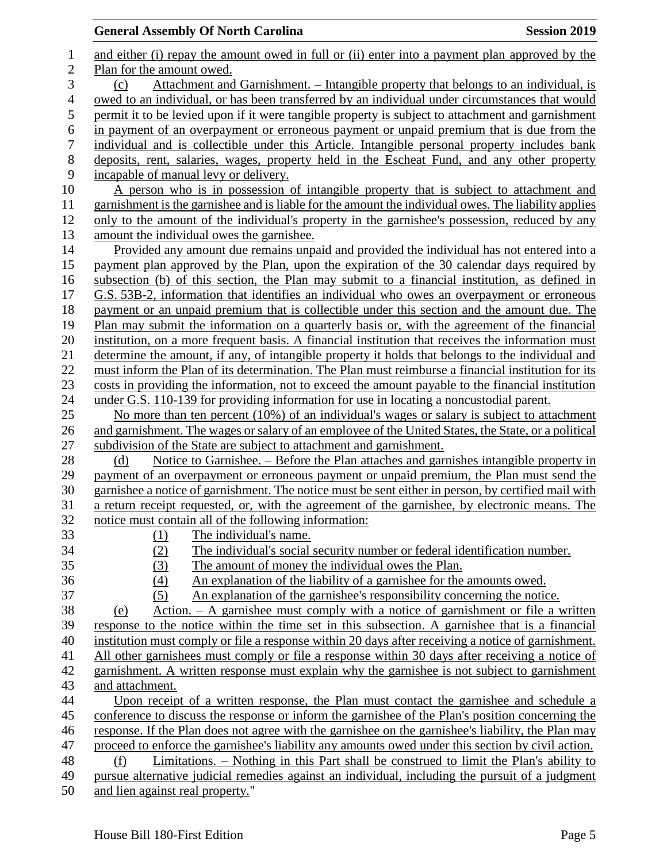# **General Assembly Of North Carolina Session 2019**

| $\mathbf{1}$     | and either (i) repay the amount owed in full or (ii) enter into a payment plan approved by the       |
|------------------|------------------------------------------------------------------------------------------------------|
| $\mathbf{2}$     | Plan for the amount owed.                                                                            |
| 3                | <u>Attachment and Garnishment. – Intangible property that belongs to an individual, is</u><br>(c)    |
| $\overline{4}$   | owed to an individual, or has been transferred by an individual under circumstances that would       |
| 5                | permit it to be levied upon if it were tangible property is subject to attachment and garnishment    |
| $\boldsymbol{6}$ | in payment of an overpayment or erroneous payment or unpaid premium that is due from the             |
| $\boldsymbol{7}$ | individual and is collectible under this Article. Intangible personal property includes bank         |
| 8                | deposits, rent, salaries, wages, property held in the Escheat Fund, and any other property           |
| 9                | incapable of manual levy or delivery.                                                                |
| 10               | A person who is in possession of intangible property that is subject to attachment and               |
| 11               | garnishment is the garnishee and is liable for the amount the individual owes. The liability applies |
| 12               | only to the amount of the individual's property in the garnishee's possession, reduced by any        |
|                  |                                                                                                      |
| 13               | amount the individual owes the garnishee.                                                            |
| 14               | Provided any amount due remains unpaid and provided the individual has not entered into a            |
| 15               | payment plan approved by the Plan, upon the expiration of the 30 calendar days required by           |
| 16               | subsection (b) of this section, the Plan may submit to a financial institution, as defined in        |
| 17               | G.S. 53B-2, information that identifies an individual who owes an overpayment or erroneous           |
| 18               | payment or an unpaid premium that is collectible under this section and the amount due. The          |
| 19               | Plan may submit the information on a quarterly basis or, with the agreement of the financial         |
| 20               | institution, on a more frequent basis. A financial institution that receives the information must    |
| 21               | determine the amount, if any, of intangible property it holds that belongs to the individual and     |
| 22               | must inform the Plan of its determination. The Plan must reimburse a financial institution for its   |
| 23               | costs in providing the information, not to exceed the amount payable to the financial institution    |
| 24               | under G.S. 110-139 for providing information for use in locating a noncustodial parent.              |
| 25               | No more than ten percent (10%) of an individual's wages or salary is subject to attachment           |
| 26               | and garnishment. The wages or salary of an employee of the United States, the State, or a political  |
| 27               | subdivision of the State are subject to attachment and garnishment.                                  |
| 28               | Notice to Garnishee. – Before the Plan attaches and garnishes intangible property in<br>(d)          |
| 29               | payment of an overpayment or erroneous payment or unpaid premium, the Plan must send the             |
| 30               | garnishee a notice of garnishment. The notice must be sent either in person, by certified mail with  |
| 31               | a return receipt requested, or, with the agreement of the garnishee, by electronic means. The        |
| 32               | notice must contain all of the following information:                                                |
| 33               | $(1)$ The individual's name.                                                                         |
| 34               | (2)<br>The individual's social security number or federal identification number.                     |
| 35               | (3)<br>The amount of money the individual owes the Plan.                                             |
| 36               | (4)<br>An explanation of the liability of a garnishee for the amounts owed.                          |
| 37               | An explanation of the garnishee's responsibility concerning the notice.<br>(5)                       |
| 38               | Action. $-$ A garnishee must comply with a notice of garnishment or file a written<br>(e)            |
| 39               | response to the notice within the time set in this subsection. A garnishee that is a financial       |
| 40               | institution must comply or file a response within 20 days after receiving a notice of garnishment.   |
| 41               | All other garnishees must comply or file a response within 30 days after receiving a notice of       |
| 42               | garnishment. A written response must explain why the garnishee is not subject to garnishment         |
| 43               | and attachment.                                                                                      |
| 44               | Upon receipt of a written response, the Plan must contact the garnishee and schedule a               |
| 45               | conference to discuss the response or inform the garnishee of the Plan's position concerning the     |
| 46               | response. If the Plan does not agree with the garnishee on the garnishee's liability, the Plan may   |
| 47               | proceed to enforce the garnishee's liability any amounts owed under this section by civil action.    |
| 48               | Limitations. – Nothing in this Part shall be construed to limit the Plan's ability to<br>(f)         |
| 49               | pursue alternative judicial remedies against an individual, including the pursuit of a judgment      |
| 50               | and lien against real property."                                                                     |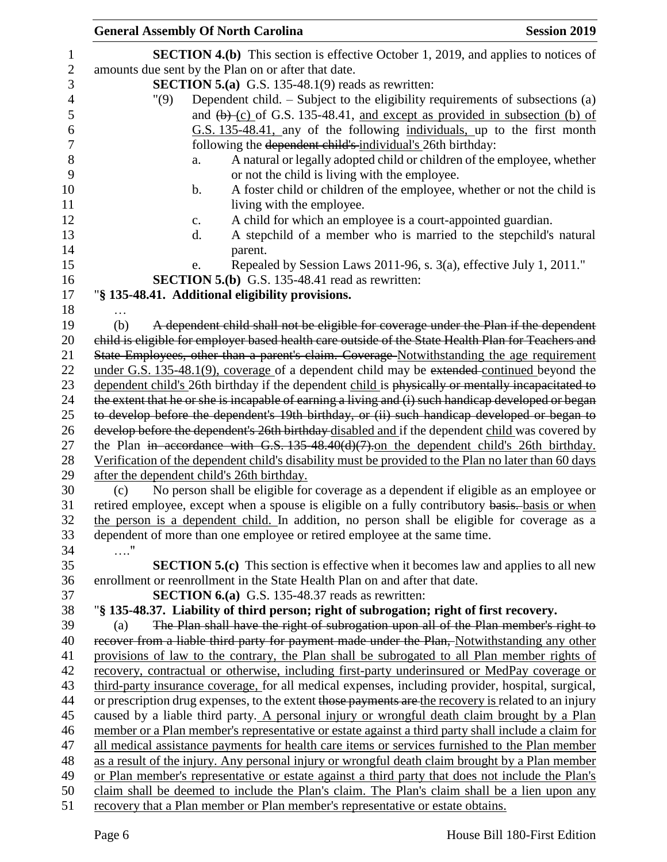| <b>General Assembly Of North Carolina</b>  |                                                                                                                                                                                              | <b>Session 2019</b>                                                     |
|--------------------------------------------|----------------------------------------------------------------------------------------------------------------------------------------------------------------------------------------------|-------------------------------------------------------------------------|
|                                            | <b>SECTION 4.(b)</b> This section is effective October 1, 2019, and applies to notices of                                                                                                    |                                                                         |
|                                            | amounts due sent by the Plan on or after that date.                                                                                                                                          |                                                                         |
|                                            | <b>SECTION 5.(a)</b> G.S. 135-48.1(9) reads as rewritten:                                                                                                                                    |                                                                         |
| "(9)                                       | Dependent child. $-$ Subject to the eligibility requirements of subsections (a)                                                                                                              |                                                                         |
|                                            | and $(b)$ (c) of G.S. 135-48.41, and except as provided in subsection (b) of                                                                                                                 |                                                                         |
|                                            | G.S. 135-48.41, any of the following individuals, up to the first month                                                                                                                      |                                                                         |
|                                            | following the dependent child's individual's 26th birthday:                                                                                                                                  |                                                                         |
| a.                                         |                                                                                                                                                                                              | A natural or legally adopted child or children of the employee, whether |
|                                            | or not the child is living with the employee.                                                                                                                                                |                                                                         |
| $\mathbf b$ .                              |                                                                                                                                                                                              | A foster child or children of the employee, whether or not the child is |
|                                            | living with the employee.                                                                                                                                                                    |                                                                         |
| c.                                         | A child for which an employee is a court-appointed guardian.                                                                                                                                 |                                                                         |
| d.                                         |                                                                                                                                                                                              | A stepchild of a member who is married to the stepchild's natural       |
|                                            | parent.                                                                                                                                                                                      |                                                                         |
| e.                                         | Repealed by Session Laws 2011-96, s. 3(a), effective July 1, 2011."                                                                                                                          |                                                                         |
|                                            | <b>SECTION 5.(b)</b> G.S. 135-48.41 read as rewritten:                                                                                                                                       |                                                                         |
|                                            | "§ 135-48.41. Additional eligibility provisions.                                                                                                                                             |                                                                         |
|                                            |                                                                                                                                                                                              |                                                                         |
| (b)                                        | A dependent child shall not be eligible for coverage under the Plan if the dependent                                                                                                         |                                                                         |
|                                            | child is eligible for employer based health care outside of the State Health Plan for Teachers and                                                                                           |                                                                         |
|                                            | State Employees, other than a parent's claim. Coverage-Notwithstanding the age requirement                                                                                                   |                                                                         |
|                                            | under G.S. 135-48.1(9), coverage of a dependent child may be extended continued beyond the                                                                                                   |                                                                         |
|                                            | dependent child's 26th birthday if the dependent child is physically or mentally incapacitated to                                                                                            |                                                                         |
|                                            | the extent that he or she is incapable of earning a living and (i) such handicap developed or began                                                                                          |                                                                         |
|                                            | to develop before the dependent's 19th birthday, or (ii) such handicap developed or began to                                                                                                 |                                                                         |
|                                            | develop before the dependent's 26th birthday disabled and if the dependent child was covered by                                                                                              |                                                                         |
|                                            | the Plan in accordance with G.S. 135-48.40(d)(7).on the dependent child's 26th birthday.                                                                                                     |                                                                         |
|                                            | Verification of the dependent child's disability must be provided to the Plan no later than 60 days                                                                                          |                                                                         |
| after the dependent child's 26th birthday. |                                                                                                                                                                                              |                                                                         |
| (c)                                        | No person shall be eligible for coverage as a dependent if eligible as an employee or                                                                                                        |                                                                         |
|                                            | retired employee, except when a spouse is eligible on a fully contributory basis. basis or when                                                                                              |                                                                         |
|                                            | the person is a dependent child. In addition, no person shall be eligible for coverage as a                                                                                                  |                                                                         |
|                                            | dependent of more than one employee or retired employee at the same time.                                                                                                                    |                                                                         |
| $\ldots$ "                                 |                                                                                                                                                                                              |                                                                         |
|                                            | <b>SECTION 5.(c)</b> This section is effective when it becomes law and applies to all new                                                                                                    |                                                                         |
|                                            | enrollment or reenrollment in the State Health Plan on and after that date.                                                                                                                  |                                                                         |
|                                            | <b>SECTION 6.(a)</b> G.S. 135-48.37 reads as rewritten:                                                                                                                                      |                                                                         |
|                                            | "§ 135-48.37. Liability of third person; right of subrogation; right of first recovery.                                                                                                      |                                                                         |
| (a)                                        | The Plan shall have the right of subrogation upon all of the Plan member's right to                                                                                                          |                                                                         |
|                                            | recover from a liable third party for payment made under the Plan, Notwithstanding any other                                                                                                 |                                                                         |
|                                            | provisions of law to the contrary, the Plan shall be subrogated to all Plan member rights of<br>recovery, contractual or otherwise, including first-party underinsured or MedPay coverage or |                                                                         |
|                                            | third-party insurance coverage, for all medical expenses, including provider, hospital, surgical,                                                                                            |                                                                         |
|                                            | or prescription drug expenses, to the extent those payments are the recovery is related to an injury                                                                                         |                                                                         |
|                                            | caused by a liable third party. A personal injury or wrongful death claim brought by a Plan                                                                                                  |                                                                         |
|                                            | member or a Plan member's representative or estate against a third party shall include a claim for                                                                                           |                                                                         |
|                                            | all medical assistance payments for health care items or services furnished to the Plan member                                                                                               |                                                                         |
|                                            | as a result of the injury. Any personal injury or wrongful death claim brought by a Plan member                                                                                              |                                                                         |
|                                            | or Plan member's representative or estate against a third party that does not include the Plan's                                                                                             |                                                                         |
|                                            | claim shall be deemed to include the Plan's claim. The Plan's claim shall be a lien upon any                                                                                                 |                                                                         |
|                                            | recovery that a Plan member or Plan member's representative or estate obtains.                                                                                                               |                                                                         |
|                                            |                                                                                                                                                                                              |                                                                         |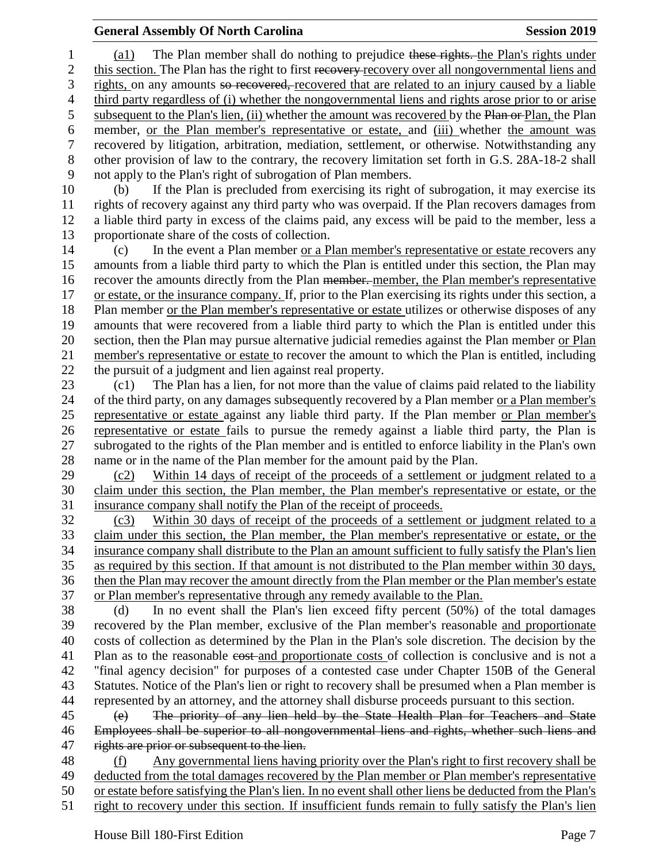### **General Assembly Of North Carolina Session 2019 Session 2019**

1 (a1) The Plan member shall do nothing to prejudice these rights. the Plan's rights under 2 this section. The Plan has the right to first recovery-recovery over all nongovernmental liens and rights, on any amounts so recovered, recovered that are related to an injury caused by a liable third party regardless of (i) whether the nongovernmental liens and rights arose prior to or arise 5 subsequent to the Plan's lien, (ii) whether the amount was recovered by the Plan or Plan, the Plan member, or the Plan member's representative or estate, and (iii) whether the amount was recovered by litigation, arbitration, mediation, settlement, or otherwise. Notwithstanding any other provision of law to the contrary, the recovery limitation set forth in G.S. 28A-18-2 shall not apply to the Plan's right of subrogation of Plan members. (b) If the Plan is precluded from exercising its right of subrogation, it may exercise its

 rights of recovery against any third party who was overpaid. If the Plan recovers damages from a liable third party in excess of the claims paid, any excess will be paid to the member, less a proportionate share of the costs of collection.

 (c) In the event a Plan member or a Plan member's representative or estate recovers any amounts from a liable third party to which the Plan is entitled under this section, the Plan may recover the amounts directly from the Plan member. member, the Plan member's representative 17 or estate, or the insurance company. If, prior to the Plan exercising its rights under this section, a Plan member or the Plan member's representative or estate utilizes or otherwise disposes of any amounts that were recovered from a liable third party to which the Plan is entitled under this section, then the Plan may pursue alternative judicial remedies against the Plan member or Plan member's representative or estate to recover the amount to which the Plan is entitled, including the pursuit of a judgment and lien against real property.

 (c1) The Plan has a lien, for not more than the value of claims paid related to the liability of the third party, on any damages subsequently recovered by a Plan member or a Plan member's representative or estate against any liable third party. If the Plan member or Plan member's representative or estate fails to pursue the remedy against a liable third party, the Plan is subrogated to the rights of the Plan member and is entitled to enforce liability in the Plan's own name or in the name of the Plan member for the amount paid by the Plan.

 (c2) Within 14 days of receipt of the proceeds of a settlement or judgment related to a claim under this section, the Plan member, the Plan member's representative or estate, or the insurance company shall notify the Plan of the receipt of proceeds.

 (c3) Within 30 days of receipt of the proceeds of a settlement or judgment related to a claim under this section, the Plan member, the Plan member's representative or estate, or the insurance company shall distribute to the Plan an amount sufficient to fully satisfy the Plan's lien as required by this section. If that amount is not distributed to the Plan member within 30 days, then the Plan may recover the amount directly from the Plan member or the Plan member's estate or Plan member's representative through any remedy available to the Plan.

 (d) In no event shall the Plan's lien exceed fifty percent (50%) of the total damages recovered by the Plan member, exclusive of the Plan member's reasonable and proportionate costs of collection as determined by the Plan in the Plan's sole discretion. The decision by the 41 Plan as to the reasonable cost-and proportionate costs of collection is conclusive and is not a "final agency decision" for purposes of a contested case under Chapter 150B of the General Statutes. Notice of the Plan's lien or right to recovery shall be presumed when a Plan member is represented by an attorney, and the attorney shall disburse proceeds pursuant to this section.

 (e) The priority of any lien held by the State Health Plan for Teachers and State Employees shall be superior to all nongovernmental liens and rights, whether such liens and 47 rights are prior or subsequent to the lien.

 (f) Any governmental liens having priority over the Plan's right to first recovery shall be deducted from the total damages recovered by the Plan member or Plan member's representative or estate before satisfying the Plan's lien. In no event shall other liens be deducted from the Plan's right to recovery under this section. If insufficient funds remain to fully satisfy the Plan's lien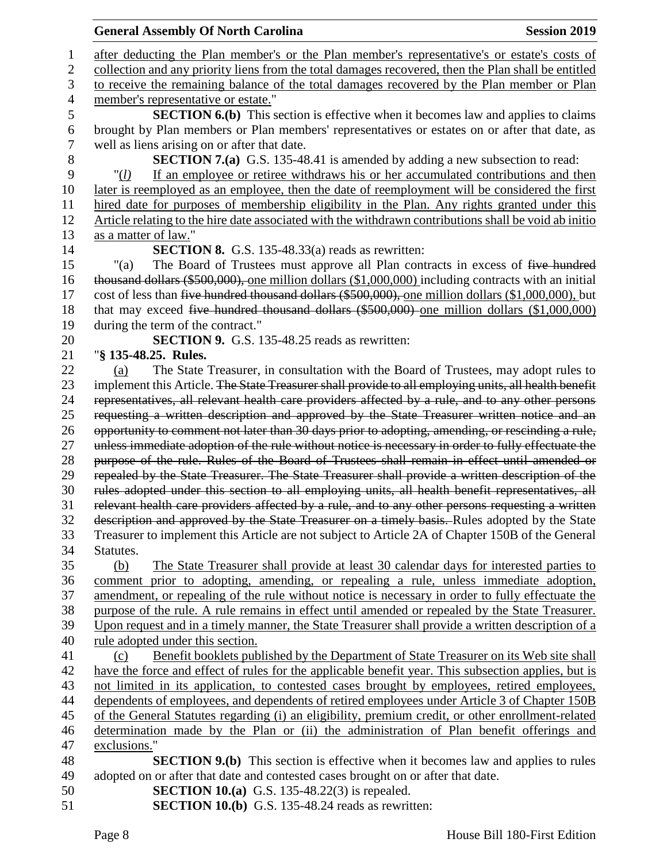|                | <b>General Assembly Of North Carolina</b><br><b>Session 2019</b>                                                                                                              |
|----------------|-------------------------------------------------------------------------------------------------------------------------------------------------------------------------------|
| 1              | after deducting the Plan member's or the Plan member's representative's or estate's costs of                                                                                  |
| $\overline{2}$ | collection and any priority liens from the total damages recovered, then the Plan shall be entitled                                                                           |
| 3              | to receive the remaining balance of the total damages recovered by the Plan member or Plan                                                                                    |
| $\overline{4}$ | member's representative or estate."                                                                                                                                           |
| 5              | <b>SECTION 6.(b)</b> This section is effective when it becomes law and applies to claims                                                                                      |
| 6              | brought by Plan members or Plan members' representatives or estates on or after that date, as                                                                                 |
| $\tau$         | well as liens arising on or after that date.                                                                                                                                  |
| 8              | <b>SECTION 7.(a)</b> G.S. 135-48.41 is amended by adding a new subsection to read:                                                                                            |
| 9              | If an employee or retiree withdraws his or her accumulated contributions and then<br>" $(l)$                                                                                  |
| 10             | later is reemployed as an employee, then the date of reemployment will be considered the first                                                                                |
| 11             | hired date for purposes of membership eligibility in the Plan. Any rights granted under this                                                                                  |
| 12             | Article relating to the hire date associated with the withdrawn contributions shall be void ab initio                                                                         |
| 13             | as a matter of law."                                                                                                                                                          |
| 14             | <b>SECTION 8.</b> G.S. 135-48.33(a) reads as rewritten:                                                                                                                       |
| 15             | The Board of Trustees must approve all Plan contracts in excess of five hundred<br>"(a)                                                                                       |
| 16             | thousand dollars (\$500,000), one million dollars (\$1,000,000) including contracts with an initial                                                                           |
| 17             | cost of less than five hundred thousand dollars (\$500,000), one million dollars (\$1,000,000), but                                                                           |
| 18             | that may exceed five hundred thousand dollars (\$500,000) one million dollars (\$1,000,000)                                                                                   |
| 19             | during the term of the contract."                                                                                                                                             |
| 20             | SECTION 9. G.S. 135-48.25 reads as rewritten:                                                                                                                                 |
| 21             | "§ 135-48.25. Rules.                                                                                                                                                          |
| 22             | The State Treasurer, in consultation with the Board of Trustees, may adopt rules to<br>(a)                                                                                    |
| 23             | implement this Article. The State Treasurer shall provide to all employing units, all health benefit                                                                          |
| 24             | representatives, all relevant health care providers affected by a rule, and to any other persons                                                                              |
| 25             | requesting a written description and approved by the State Treasurer written notice and an                                                                                    |
| 26             | opportunity to comment not later than 30 days prior to adopting, amending, or rescinding a rule,                                                                              |
| 27             | unless immediate adoption of the rule without notice is necessary in order to fully effectuate the                                                                            |
| 28             | purpose of the rule. Rules of the Board of Trustees shall remain in effect until amended or                                                                                   |
| 29             | repealed by the State Treasurer. The State Treasurer shall provide a written description of the                                                                               |
| 30             | rules adopted under this section to all employing units, all health benefit representatives, all                                                                              |
| 31             | relevant health care providers affected by a rule, and to any other persons requesting a written                                                                              |
| 32             | description and approved by the State Treasurer on a timely basis. Rules adopted by the State                                                                                 |
| 33             | Treasurer to implement this Article are not subject to Article 2A of Chapter 150B of the General<br>Statutes.                                                                 |
| 34<br>35       | (b)                                                                                                                                                                           |
| 36             | The State Treasurer shall provide at least 30 calendar days for interested parties to<br>comment prior to adopting, amending, or repealing a rule, unless immediate adoption, |
| 37             | amendment, or repealing of the rule without notice is necessary in order to fully effectuate the                                                                              |
| 38             | purpose of the rule. A rule remains in effect until amended or repealed by the State Treasurer.                                                                               |
| 39             | Upon request and in a timely manner, the State Treasurer shall provide a written description of a                                                                             |
| 40             | rule adopted under this section.                                                                                                                                              |
| 41             | Benefit booklets published by the Department of State Treasurer on its Web site shall<br>(c)                                                                                  |
| 42             | have the force and effect of rules for the applicable benefit year. This subsection applies, but is                                                                           |
| 43             | not limited in its application, to contested cases brought by employees, retired employees,                                                                                   |
| 44             | dependents of employees, and dependents of retired employees under Article 3 of Chapter 150B                                                                                  |
| 45             | of the General Statutes regarding (i) an eligibility, premium credit, or other enrollment-related                                                                             |
| 46             | determination made by the Plan or (ii) the administration of Plan benefit offerings and                                                                                       |
| 47             | exclusions."                                                                                                                                                                  |
| 48             | <b>SECTION 9.(b)</b> This section is effective when it becomes law and applies to rules                                                                                       |
| 49             | adopted on or after that date and contested cases brought on or after that date.                                                                                              |
| 50             | <b>SECTION 10.(a)</b> G.S. 135-48.22(3) is repealed.                                                                                                                          |
| 51             | <b>SECTION 10.(b)</b> G.S. 135-48.24 reads as rewritten:                                                                                                                      |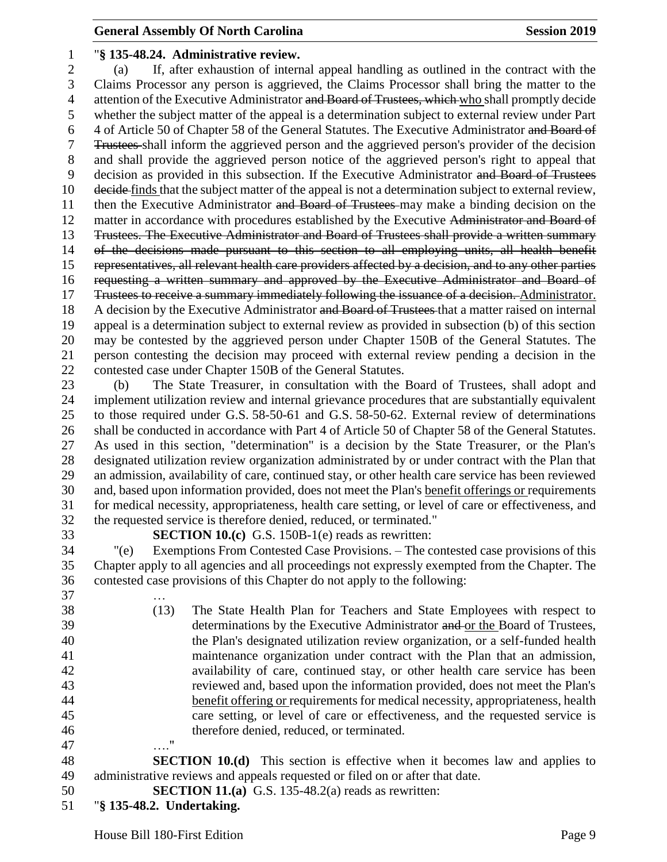### **General Assembly Of North Carolina Session 2019 Session 2019**

#### "**§ 135-48.24. Administrative review.**

 (a) If, after exhaustion of internal appeal handling as outlined in the contract with the Claims Processor any person is aggrieved, the Claims Processor shall bring the matter to the 4 attention of the Executive Administrator and Board of Trustees, which who shall promptly decide whether the subject matter of the appeal is a determination subject to external review under Part 4 of Article 50 of Chapter 58 of the General Statutes. The Executive Administrator and Board of Trustees shall inform the aggrieved person and the aggrieved person's provider of the decision and shall provide the aggrieved person notice of the aggrieved person's right to appeal that 9 decision as provided in this subsection. If the Executive Administrator and Board of Trustees 10 <del>decide</del> finds that the subject matter of the appeal is not a determination subject to external review, 11 then the Executive Administrator and Board of Trustees may make a binding decision on the 12 matter in accordance with procedures established by the Executive Administrator and Board of Trustees. The Executive Administrator and Board of Trustees shall provide a written summary of the decisions made pursuant to this section to all employing units, all health benefit representatives, all relevant health care providers affected by a decision, and to any other parties requesting a written summary and approved by the Executive Administrator and Board of 17 Trustees to receive a summary immediately following the issuance of a decision. Administrator. 18 A decision by the Executive Administrator and Board of Trustees that a matter raised on internal appeal is a determination subject to external review as provided in subsection (b) of this section may be contested by the aggrieved person under Chapter 150B of the General Statutes. The person contesting the decision may proceed with external review pending a decision in the contested case under Chapter 150B of the General Statutes.

 (b) The State Treasurer, in consultation with the Board of Trustees, shall adopt and implement utilization review and internal grievance procedures that are substantially equivalent to those required under G.S. 58-50-61 and G.S. 58-50-62. External review of determinations shall be conducted in accordance with Part 4 of Article 50 of Chapter 58 of the General Statutes. As used in this section, "determination" is a decision by the State Treasurer, or the Plan's designated utilization review organization administrated by or under contract with the Plan that an admission, availability of care, continued stay, or other health care service has been reviewed and, based upon information provided, does not meet the Plan's benefit offerings or requirements for medical necessity, appropriateness, health care setting, or level of care or effectiveness, and the requested service is therefore denied, reduced, or terminated."

**SECTION 10.(c)** G.S. 150B-1(e) reads as rewritten:

 "(e) Exemptions From Contested Case Provisions. – The contested case provisions of this Chapter apply to all agencies and all proceedings not expressly exempted from the Chapter. The contested case provisions of this Chapter do not apply to the following:

 … (13) The State Health Plan for Teachers and State Employees with respect to 39 determinations by the Executive Administrator and or the Board of Trustees, the Plan's designated utilization review organization, or a self-funded health maintenance organization under contract with the Plan that an admission, availability of care, continued stay, or other health care service has been reviewed and, based upon the information provided, does not meet the Plan's benefit offering or requirements for medical necessity, appropriateness, health care setting, or level of care or effectiveness, and the requested service is therefore denied, reduced, or terminated. …."

 **SECTION 10.(d)** This section is effective when it becomes law and applies to administrative reviews and appeals requested or filed on or after that date.

- **SECTION 11.(a)** G.S. 135-48.2(a) reads as rewritten:
- "**§ 135-48.2. Undertaking.**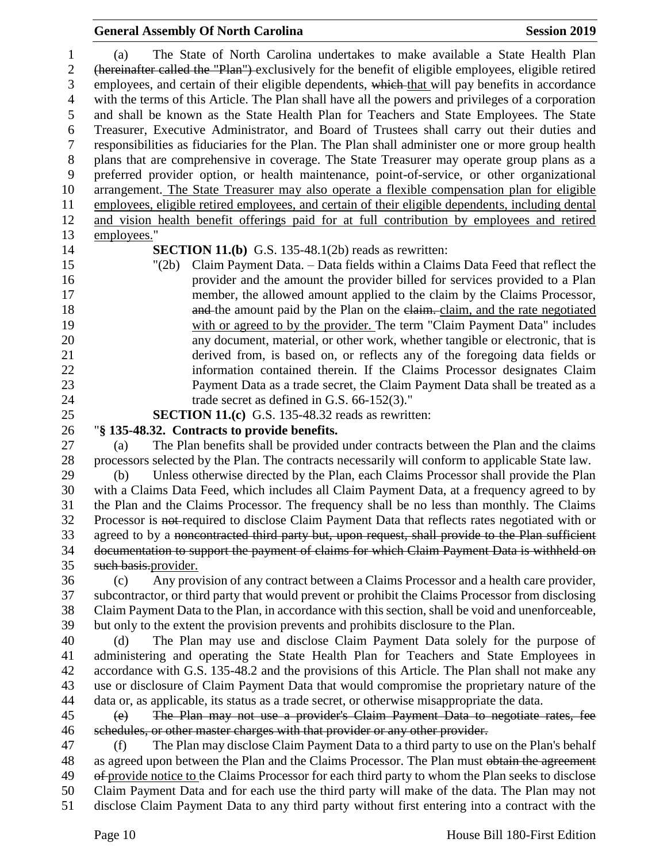# **General Assembly Of North Carolina Session 2019**

| 1              | The State of North Carolina undertakes to make available a State Health Plan<br>(a)                 |
|----------------|-----------------------------------------------------------------------------------------------------|
| $\overline{c}$ | (hereinafter called the "Plan") exclusively for the benefit of eligible employees, eligible retired |
| 3              | employees, and certain of their eligible dependents, which that will pay benefits in accordance     |
| $\overline{4}$ | with the terms of this Article. The Plan shall have all the powers and privileges of a corporation  |
| 5              | and shall be known as the State Health Plan for Teachers and State Employees. The State             |
| 6              | Treasurer, Executive Administrator, and Board of Trustees shall carry out their duties and          |
| $\tau$         | responsibilities as fiduciaries for the Plan. The Plan shall administer one or more group health    |
| $8\,$          | plans that are comprehensive in coverage. The State Treasurer may operate group plans as a          |
| 9              | preferred provider option, or health maintenance, point-of-service, or other organizational         |
| 10             | arrangement. The State Treasurer may also operate a flexible compensation plan for eligible         |
| 11             | employees, eligible retired employees, and certain of their eligible dependents, including dental   |
| 12             | and vision health benefit offerings paid for at full contribution by employees and retired          |
| 13             | employees."                                                                                         |
| 14             | <b>SECTION 11.(b)</b> G.S. 135-48.1(2b) reads as rewritten:                                         |
| 15             | Claim Payment Data. - Data fields within a Claims Data Feed that reflect the<br>" $(2b)$            |
| 16             | provider and the amount the provider billed for services provided to a Plan                         |
| 17             | member, the allowed amount applied to the claim by the Claims Processor,                            |
| 18             | and the amount paid by the Plan on the elaim. claim, and the rate negotiated                        |
| 19             | with or agreed to by the provider. The term "Claim Payment Data" includes                           |
| 20             | any document, material, or other work, whether tangible or electronic, that is                      |
| 21             | derived from, is based on, or reflects any of the foregoing data fields or                          |
| 22             | information contained therein. If the Claims Processor designates Claim                             |
| 23             | Payment Data as a trade secret, the Claim Payment Data shall be treated as a                        |
| 24             | trade secret as defined in G.S. $66-152(3)$ ."                                                      |
| 25             | <b>SECTION 11.(c)</b> G.S. 135-48.32 reads as rewritten:                                            |
| 26             | "§ 135-48.32. Contracts to provide benefits.                                                        |
| 27             | The Plan benefits shall be provided under contracts between the Plan and the claims<br>(a)          |
| 28             | processors selected by the Plan. The contracts necessarily will conform to applicable State law.    |
| 29             | Unless otherwise directed by the Plan, each Claims Processor shall provide the Plan<br>(b)          |
| 30             | with a Claims Data Feed, which includes all Claim Payment Data, at a frequency agreed to by         |
| 31             | the Plan and the Claims Processor. The frequency shall be no less than monthly. The Claims          |
| 32             | Processor is not-required to disclose Claim Payment Data that reflects rates negotiated with or     |
| 33             | agreed to by a noncontracted third party but, upon request, shall provide to the Plan sufficient    |
| 34             | documentation to support the payment of claims for which Claim Payment Data is withheld on          |
| 35             | such basis.provider.                                                                                |
| 36             | Any provision of any contract between a Claims Processor and a health care provider,<br>(c)         |
| 37             | subcontractor, or third party that would prevent or prohibit the Claims Processor from disclosing   |
| 38             | Claim Payment Data to the Plan, in accordance with this section, shall be void and unenforceable,   |
| 39             | but only to the extent the provision prevents and prohibits disclosure to the Plan.                 |
| 40             | The Plan may use and disclose Claim Payment Data solely for the purpose of<br>(d)                   |
| 41             | administering and operating the State Health Plan for Teachers and State Employees in               |
| 42             | accordance with G.S. 135-48.2 and the provisions of this Article. The Plan shall not make any       |
| 43             | use or disclosure of Claim Payment Data that would compromise the proprietary nature of the         |
| 44             | data or, as applicable, its status as a trade secret, or otherwise misappropriate the data.         |
| 45             | The Plan may not use a provider's Claim Payment Data to negotiate rates, fee<br>(e)                 |
| 46             | schedules, or other master charges with that provider or any other provider.                        |
| 47             | The Plan may disclose Claim Payment Data to a third party to use on the Plan's behalf<br>(f)        |
| 48             | as agreed upon between the Plan and the Claims Processor. The Plan must obtain the agreement        |
| 49             | of provide notice to the Claims Processor for each third party to whom the Plan seeks to disclose   |
| 50             | Claim Payment Data and for each use the third party will make of the data. The Plan may not         |
| 51             | disclose Claim Payment Data to any third party without first entering into a contract with the      |